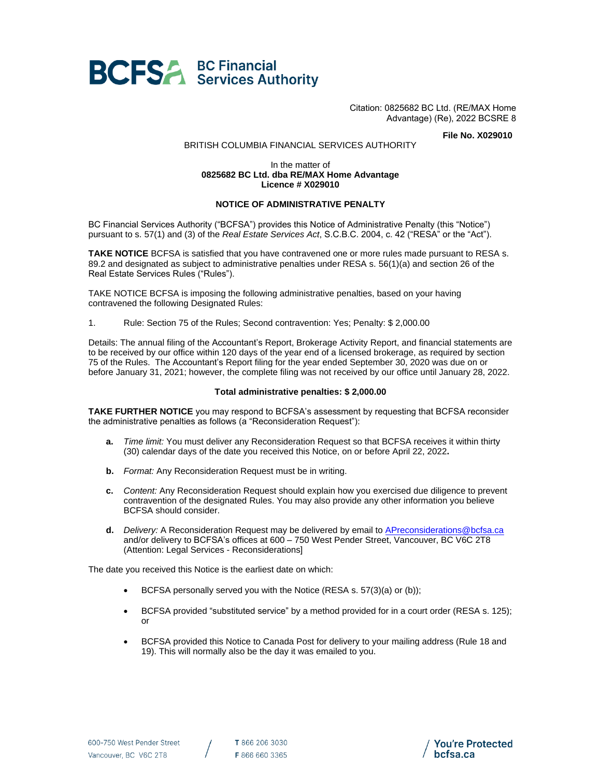

Citation: 0825682 BC Ltd. (RE/MAX Home Advantage) (Re), 2022 BCSRE 8

**File No. X029010**

## BRITISH COLUMBIA FINANCIAL SERVICES AUTHORITY

## In the matter of **0825682 BC Ltd. dba RE/MAX Home Advantage Licence # X029010**

## **NOTICE OF ADMINISTRATIVE PENALTY**

BC Financial Services Authority ("BCFSA") provides this Notice of Administrative Penalty (this "Notice") pursuant to s. 57(1) and (3) of the *Real Estate Services Act*, S.C.B.C. 2004, c. 42 ("RESA" or the "Act").

**TAKE NOTICE** BCFSA is satisfied that you have contravened one or more rules made pursuant to RESA s. 89.2 and designated as subject to administrative penalties under RESA s. 56(1)(a) and section 26 of the Real Estate Services Rules ("Rules").

TAKE NOTICE BCFSA is imposing the following administrative penalties, based on your having contravened the following Designated Rules:

1. Rule: Section 75 of the Rules; Second contravention: Yes; Penalty: \$ 2,000.00

Details: The annual filing of the Accountant's Report, Brokerage Activity Report, and financial statements are to be received by our office within 120 days of the year end of a licensed brokerage, as required by section 75 of the Rules. The Accountant's Report filing for the year ended September 30, 2020 was due on or before January 31, 2021; however, the complete filing was not received by our office until January 28, 2022.

## **Total administrative penalties: \$ 2,000.00**

**TAKE FURTHER NOTICE** you may respond to BCFSA's assessment by requesting that BCFSA reconsider the administrative penalties as follows (a "Reconsideration Request"):

- **a.** *Time limit:* You must deliver any Reconsideration Request so that BCFSA receives it within thirty (30) calendar days of the date you received this Notice, on or before April 22, 2022**.**
- **b.** *Format:* Any Reconsideration Request must be in writing.
- **c.** *Content:* Any Reconsideration Request should explain how you exercised due diligence to prevent contravention of the designated Rules. You may also provide any other information you believe BCFSA should consider.
- **d.** *Delivery:* A Reconsideration Request may be delivered by email to APreconsiderations@bcfsa.ca and/or delivery to BCFSA's offices at 600 – 750 West Pender Street, Vancouver, BC V6C 2T8 (Attention: Legal Services - Reconsiderations]

The date you received this Notice is the earliest date on which:

- BCFSA personally served you with the Notice (RESA s. 57(3)(a) or (b));
- BCFSA provided "substituted service" by a method provided for in a court order (RESA s. 125); or
- BCFSA provided this Notice to Canada Post for delivery to your mailing address (Rule 18 and 19). This will normally also be the day it was emailed to you.